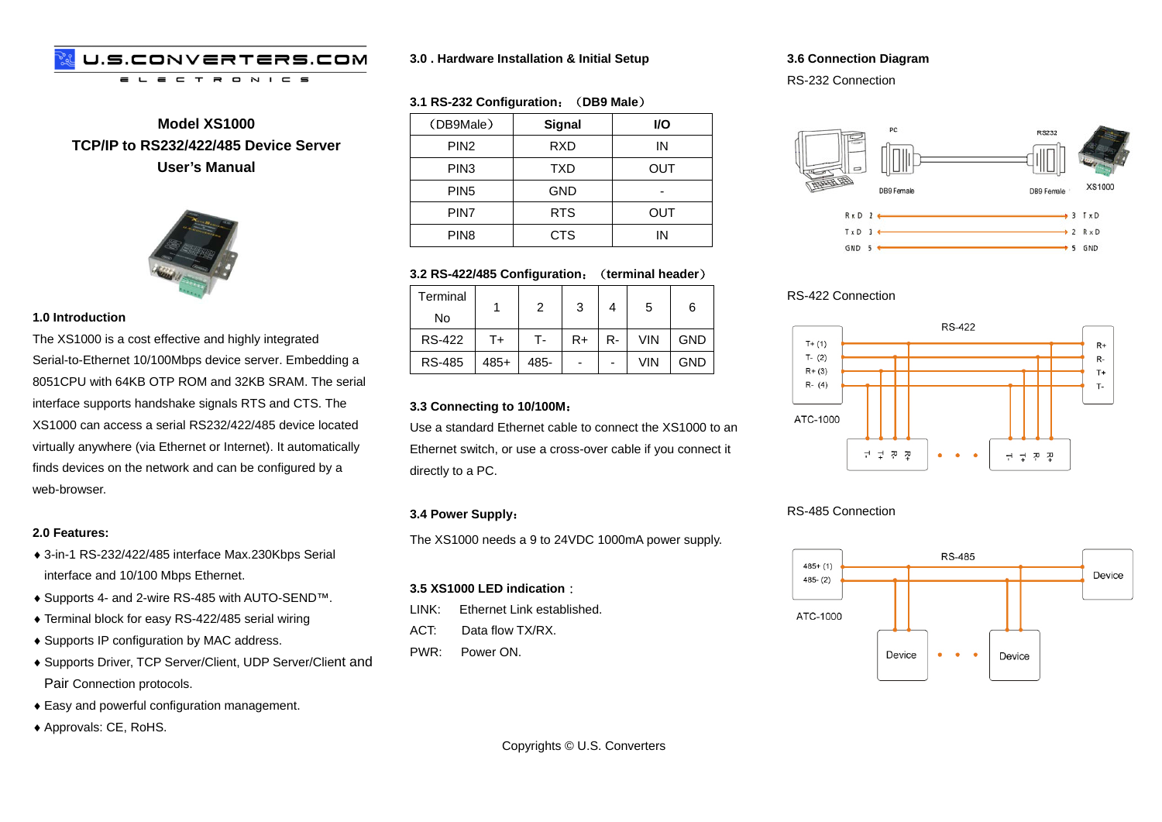#### U.S.CONVERTERS.COM  $\blacksquare$  $N$   $I$   $C$   $S$  $\equiv$  $\equiv$  $\mathbf{\tau}$  $\mathbf{R}$

**Model XS1000 TCP/IP to RS232/422/485 Device Server User's Manual**



#### **1.0 Introduction**

The XS1000 is a cost effective and highly integrated Serial-to-Ethernet 10/100Mbps device server. Embedding a 8051CPU with 64KB OTP ROM and 32KB SRAM. The serial interface supports handshake signals RTS and CTS. The XS1000 can access a serial RS232/422/485 device located virtually anywhere (via Ethernet or Internet). It automatically finds devices on the network and can be configured by a web-browser.

#### **2.0 Features:**

- ♦ 3-in-1 RS-232/422/485 interface Max.230Kbps Serial interface and 10/100 Mbps Ethernet.
- ♦ Supports 4- and 2-wire RS-485 with AUTO-SEND™.
- ♦ Terminal block for easy RS-422/485 serial wiring
- ♦ Supports IP configuration by MAC address.
- ♦ Supports Driver, TCP Server/Client, UDP Server/Client and Pair Connection protocols.
- ♦ Easy and powerful configuration management.
- ♦ Approvals: CE, RoHS.

#### **3.0 . Hardware Installation & Initial Setup**

#### **3.1 RS-232 Configuration**:(**DB9 Male**)

| (DB9Male)        | Signal     | <b>VO</b> |
|------------------|------------|-----------|
| PIN <sub>2</sub> | RXD        | ΙN        |
| PIN <sub>3</sub> | <b>TXD</b> | OUT       |
| PIN <sub>5</sub> | <b>GND</b> |           |
| PIN7             | <b>RTS</b> | OUT       |
| PIN <sub>8</sub> | CTS        | ΙN        |

#### **3.2 RS-422/485 Configuration**:(**terminal header**)

| Terminal<br>No |        | 2    | 3              |    | 5   | 6          |
|----------------|--------|------|----------------|----|-----|------------|
| <b>RS-422</b>  | T+     | т.   | $R+$           | R- | VIN | <b>GND</b> |
| <b>RS-485</b>  | $485+$ | 485- | $\blacksquare$ | -  | VIN | <b>GND</b> |

#### **3.3 Connecting to 10/100M**:

Use a standard Ethernet cable to connect the XS1000 to an Ethernet switch, or use a cross-over cable if you connect it directly to a PC.

#### **3.4 Power Supply**:

The XS1000 needs a 9 to 24VDC 1000mA power supply.

#### **3.5 XS1000 LED indication**:

- LINK: Ethernet Link established.
- ACT: Data flow TX/RX.
- PWR: Power ON.

#### **3.6 Connection Diagram**

RS-232 Connection



## RS-422 Connection



### RS-485 Connection



Copyrights © U.S. Converters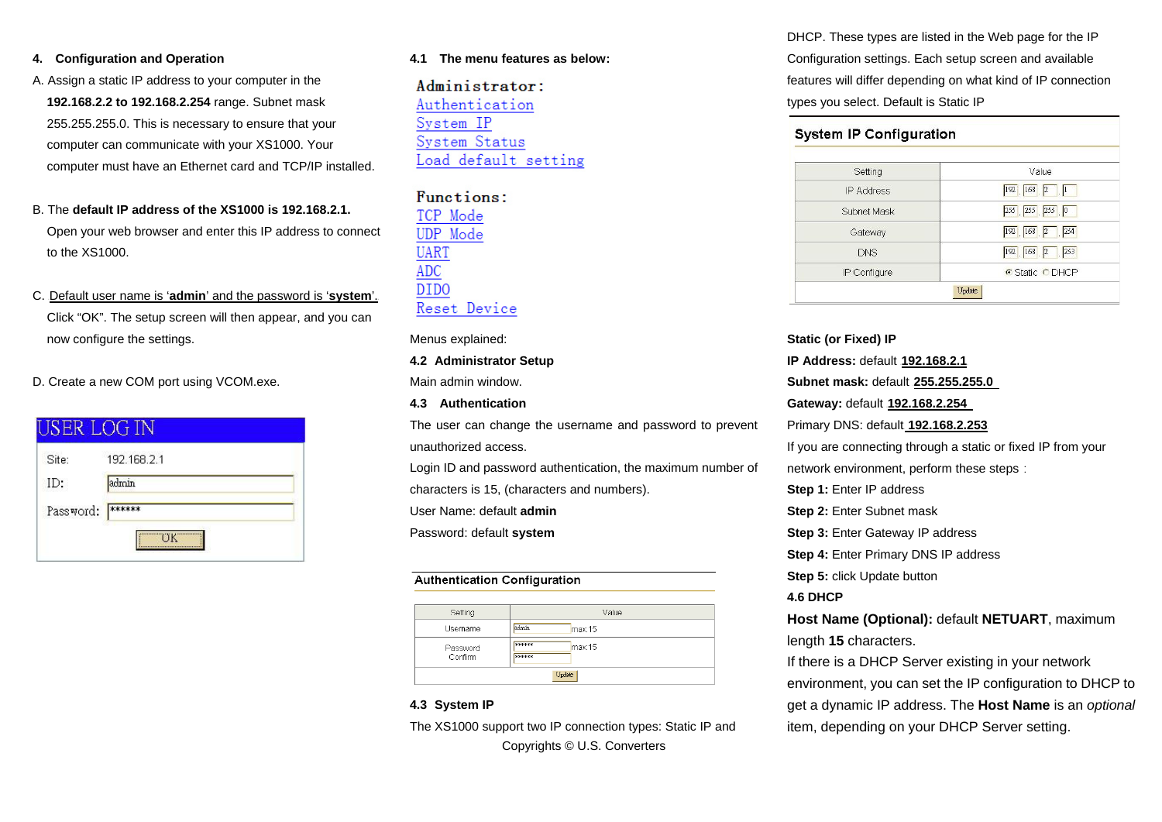#### **4. Configuration and Operation**

- A. Assign a static IP address to your computer in the **192.168.2.2 to 192.168.2.254** range. Subnet mask 255.255.255.0. This is necessary to ensure that your computer can communicate with your XS1000. Your computer must have an Ethernet card and TCP/IP installed.
- B. The **default IP address of the XS1000 is 192.168.2.1.** Open your web browser and enter this IP address to connect to the XS1000.
- C. Default user name is 'admin' and the password is 'system'. Click "OK". The setup screen will then appear, and you can now configure the settings.
- D. Create a new COM port using VCOM.exe.

| Site:     | 192.168.2.1 |  |
|-----------|-------------|--|
| ID:       | admin       |  |
| Password: | ******      |  |

#### **4.1 The menu features as below:**

Administrator: Authentication System IP System Status Load default setting

# Functions: TCP Mode **UDP** Mode **UART ADC** DIDO Reset Device

Menus explained:

#### **4.2 Administrator Setup** Main admin window.

**4.3 Authentication**

The user can change the username and password to prevent unauthorized access.

Login ID and password authentication, the maximum number of characters is 15, (characters and numbers).

User Name: default **admin**

Password: default **system**

#### **Authentication Configuration**

| Setting             | Value                               |  |
|---------------------|-------------------------------------|--|
| Username            | admin<br>max15                      |  |
| Password<br>Confirm | 80000000<br>max15<br><b>RECKBON</b> |  |
| Update              |                                     |  |

### **4.3 System IP**

Copyrights © U.S. Converters The XS1000 support two IP connection types: Static IP and DHCP. These types are listed in the Web page for the IP Configuration settings. Each setup screen and available features will differ depending on what kind of IP connection types you select. Default is Static IP

| <b>System IP Configuration</b> |                     |
|--------------------------------|---------------------|
| Setting                        | Value               |
| IP Address                     | $192$ $168$ $2$ $1$ |
| Subnet Mask                    | 255 255 255 0       |
| Gateway                        | 192 168 2 254       |
| <b>DNS</b>                     | 192 168 2 253       |
| IP Configure                   | C Static C DHCP     |
|                                | Update              |

**Static (or Fixed) IP IP Address: default 192.168.2.1 Subnet mask: default 255.255.255.0 Gateway: default 192.168.2.254** Primary DNS: default **192.168.2.253** If you are connecting through a static or fixed IP from your network environment, perform these steps: **Step 1:** Enter IP address **Step 2: Enter Subnet mask Step 3: Enter Gateway IP address Step 4: Enter Primary DNS IP address Step 5:** click Update button **4.6 DHCP Host Name (Optional):** default **NETUART**, maximum length **15** characters. If there is a DHCP Server existing in your network environment, you can set the IP configuration to DHCP to get a dynamic IP address. The **Host Name** is an *optional* item, depending on your DHCP Server setting.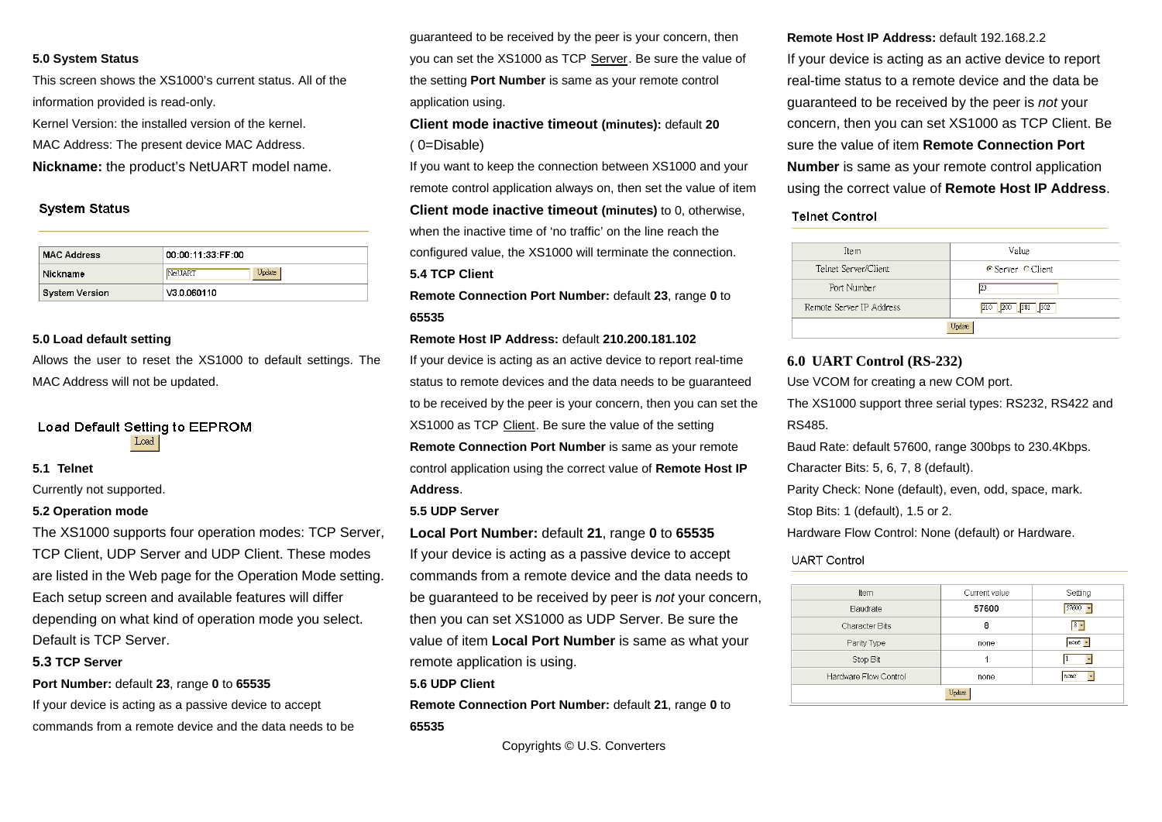#### **5.0 System Status**

This screen shows the XS1000's current status. All of the information provided is read-only.

Kernel Version: the installed version of the kernel.

MAC Address: The present device MAC Address.

**Nickname:** the product's NetUART model name.

#### **System Status**

| <b>MAC Address</b>    | 00:00:11:33:FF:00 |  |
|-----------------------|-------------------|--|
| Nickname              | Update<br>NetUART |  |
| <b>System Version</b> | V3.0.060110       |  |

#### **5.0 Load default setting**

Allows the user to reset the XS1000 to default settings. The MAC Address will not be updated.

#### Load Default Setting to EEPROM Load

#### **5.1 Telnet**

Currently not supported.

#### **5.2 Operation mode**

The XS1000 supports four operation modes: TCP Server, TCP Client, UDP Server and UDP Client. These modes are listed in the Web page for the Operation Mode setting. Each setup screen and available features will differ depending on what kind of operation mode you select. Default is TCP Server.

#### **5.3 TCP Server**

**Port Number:** default **23**, range **0** to **65535**

If your device is acting as a passive device to accept commands from a remote device and the data needs to be

guaranteed to be received by the peer is your concern, then you can set the XS1000 as TCP Server. Be sure the value of the setting **Port Number** is same as your remote control application using.

# **Client mode inactive timeout (minutes):** default **20** ( 0=Disable)

If you want to keep the connection between XS1000 and your remote control application always on, then set the value of item

**Client mode inactive timeout (minutes)** to 0, otherwise, when the inactive time of 'no traffic' on the line reach the configured value, the XS1000 will terminate the connection. **5.4 TCP Client** 

**Remote Connection Port Number:** default **23**, range **0** to **65535**

#### **Remote Host IP Address:** default **210.200.181.102**

If your device is acting as an active device to report real-time status to remote devices and the data needs to be guaranteed to be received by the peer is your concern, then you can set the XS1000 as TCP Client. Be sure the value of the setting **Remote Connection Port Number** is same as your remote control application using the correct value of **Remote Host IP Address**.

#### **5.5 UDP Server**

**Local Port Number:** default **21**, range **0** to **65535** If your device is acting as a passive device to accept commands from a remote device and the data needs to be guaranteed to be received by peer is *not* your concern, then you can set XS1000 as UDP Server. Be sure the value of item **Local Port Number** is same as what your remote application is using.

#### **5.6 UDP Client**

**Remote Connection Port Number:** default **21**, range **0** to **65535**

Copyrights © U.S. Converters

**Remote Host IP Address:** default 192.168.2.2 If your device is acting as an active device to report real-time status to a remote device and the data be guaranteed to be received by the peer is *not* your concern, then you can set XS1000 as TCP Client. Be sure the value of item **Remote Connection Port Number** is same as your remote control application using the correct value of **Remote Host IP Address**.

#### **Teinet Control**

| Item                     | Value                    |  |
|--------------------------|--------------------------|--|
| Telnet Server/Client     | <b>⊙</b> Server ⊙ Client |  |
| Port Number              | 23                       |  |
| Remote Server IP Address | 210 200 181 102          |  |
| Update                   |                          |  |
|                          |                          |  |

#### **6.0 UART Control (RS-232)**

Use VCOM for creating a new COM port.

The XS1000 support three serial types: RS232, RS422 and RS485.

Baud Rate: default 57600, range 300bps to 230.4Kbps.

Character Bits: 5, 6, 7, 8 (default).

Parity Check: None (default), even, odd, space, mark.

Stop Bits: 1 (default), 1.5 or 2.

Hardware Flow Control: None (default) or Hardware.

#### **UART Control**

| Item                  | Current value | Setting    |  |
|-----------------------|---------------|------------|--|
| Baudrate              | 57600         | 57600<br>× |  |
| Character Bits        | 8             | $8 -$      |  |
| Parity Type           | none          | none -     |  |
| Stop Bit              |               |            |  |
| Hardware Flow Control | none          | none       |  |
| Update                |               |            |  |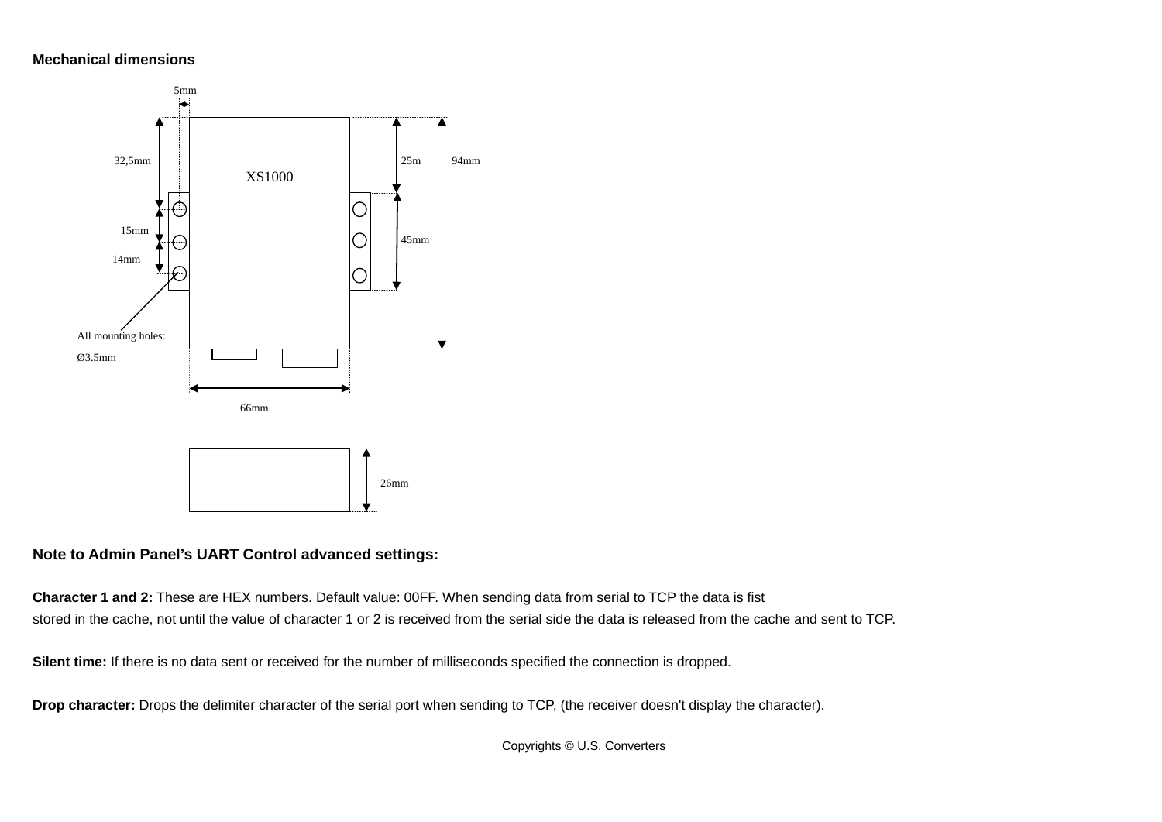# **Mechanical dimensions**



# **Note to Admin Panel's UART Control advanced settings:**

**Character 1 and 2:** These are HEX numbers. Default value: 00FF. When sending data from serial to TCP the data is fist stored in the cache, not until the value of character 1 or 2 is received from the serial side the data is released from the cache and sent to TCP.

**Silent time:** If there is no data sent or received for the number of milliseconds specified the connection is dropped.

**Drop character:** Drops the delimiter character of the serial port when sending to TCP, (the receiver doesn't display the character).

Copyrights © U.S. Converters